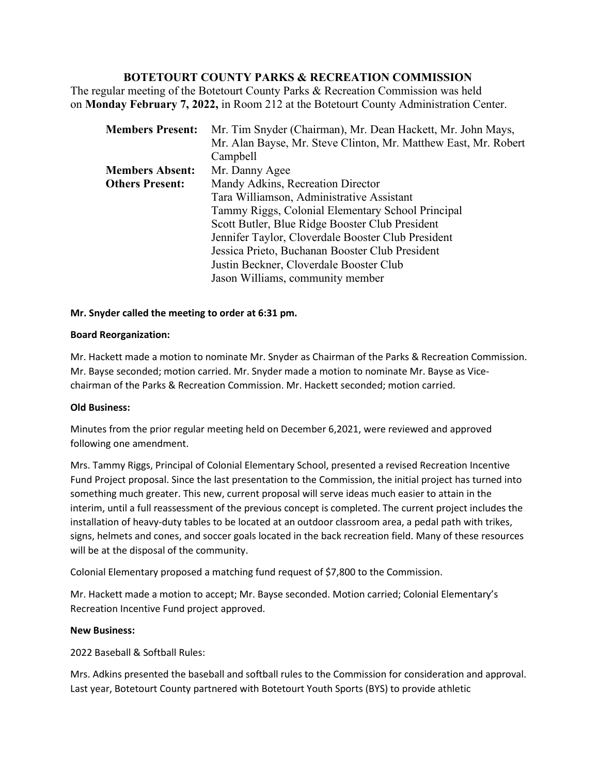# **BOTETOURT COUNTY PARKS & RECREATION COMMISSION**

The regular meeting of the Botetourt County Parks & Recreation Commission was held on **Monday February 7, 2022,** in Room 212 at the Botetourt County Administration Center.

| <b>Members Present:</b> | Mr. Tim Snyder (Chairman), Mr. Dean Hackett, Mr. John Mays,     |
|-------------------------|-----------------------------------------------------------------|
|                         | Mr. Alan Bayse, Mr. Steve Clinton, Mr. Matthew East, Mr. Robert |
|                         | Campbell                                                        |
| <b>Members Absent:</b>  | Mr. Danny Agee                                                  |
| <b>Others Present:</b>  | Mandy Adkins, Recreation Director                               |
|                         | Tara Williamson, Administrative Assistant                       |
|                         | Tammy Riggs, Colonial Elementary School Principal               |
|                         | Scott Butler, Blue Ridge Booster Club President                 |
|                         | Jennifer Taylor, Cloverdale Booster Club President              |
|                         | Jessica Prieto, Buchanan Booster Club President                 |
|                         | Justin Beckner, Cloverdale Booster Club                         |
|                         | Jason Williams, community member                                |

## **Mr. Snyder called the meeting to order at 6:31 pm.**

## **Board Reorganization:**

Mr. Hackett made a motion to nominate Mr. Snyder as Chairman of the Parks & Recreation Commission. Mr. Bayse seconded; motion carried. Mr. Snyder made a motion to nominate Mr. Bayse as Vicechairman of the Parks & Recreation Commission. Mr. Hackett seconded; motion carried.

## **Old Business:**

Minutes from the prior regular meeting held on December 6,2021, were reviewed and approved following one amendment.

Mrs. Tammy Riggs, Principal of Colonial Elementary School, presented a revised Recreation Incentive Fund Project proposal. Since the last presentation to the Commission, the initial project has turned into something much greater. This new, current proposal will serve ideas much easier to attain in the interim, until a full reassessment of the previous concept is completed. The current project includes the installation of heavy-duty tables to be located at an outdoor classroom area, a pedal path with trikes, signs, helmets and cones, and soccer goals located in the back recreation field. Many of these resources will be at the disposal of the community.

Colonial Elementary proposed a matching fund request of \$7,800 to the Commission.

Mr. Hackett made a motion to accept; Mr. Bayse seconded. Motion carried; Colonial Elementary's Recreation Incentive Fund project approved.

## **New Business:**

2022 Baseball & Softball Rules:

Mrs. Adkins presented the baseball and softball rules to the Commission for consideration and approval. Last year, Botetourt County partnered with Botetourt Youth Sports (BYS) to provide athletic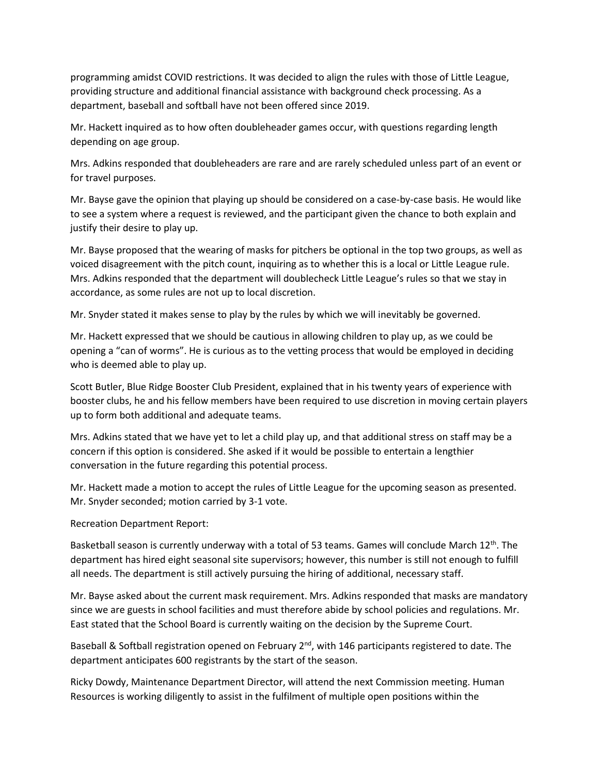programming amidst COVID restrictions. It was decided to align the rules with those of Little League, providing structure and additional financial assistance with background check processing. As a department, baseball and softball have not been offered since 2019.

Mr. Hackett inquired as to how often doubleheader games occur, with questions regarding length depending on age group.

Mrs. Adkins responded that doubleheaders are rare and are rarely scheduled unless part of an event or for travel purposes.

Mr. Bayse gave the opinion that playing up should be considered on a case-by-case basis. He would like to see a system where a request is reviewed, and the participant given the chance to both explain and justify their desire to play up.

Mr. Bayse proposed that the wearing of masks for pitchers be optional in the top two groups, as well as voiced disagreement with the pitch count, inquiring as to whether this is a local or Little League rule. Mrs. Adkins responded that the department will doublecheck Little League's rules so that we stay in accordance, as some rules are not up to local discretion.

Mr. Snyder stated it makes sense to play by the rules by which we will inevitably be governed.

Mr. Hackett expressed that we should be cautious in allowing children to play up, as we could be opening a "can of worms". He is curious as to the vetting process that would be employed in deciding who is deemed able to play up.

Scott Butler, Blue Ridge Booster Club President, explained that in his twenty years of experience with booster clubs, he and his fellow members have been required to use discretion in moving certain players up to form both additional and adequate teams.

Mrs. Adkins stated that we have yet to let a child play up, and that additional stress on staff may be a concern if this option is considered. She asked if it would be possible to entertain a lengthier conversation in the future regarding this potential process.

Mr. Hackett made a motion to accept the rules of Little League for the upcoming season as presented. Mr. Snyder seconded; motion carried by 3-1 vote.

Recreation Department Report:

Basketball season is currently underway with a total of 53 teams. Games will conclude March 12<sup>th</sup>. The department has hired eight seasonal site supervisors; however, this number is still not enough to fulfill all needs. The department is still actively pursuing the hiring of additional, necessary staff.

Mr. Bayse asked about the current mask requirement. Mrs. Adkins responded that masks are mandatory since we are guests in school facilities and must therefore abide by school policies and regulations. Mr. East stated that the School Board is currently waiting on the decision by the Supreme Court.

Baseball & Softball registration opened on February  $2^{nd}$ , with 146 participants registered to date. The department anticipates 600 registrants by the start of the season.

Ricky Dowdy, Maintenance Department Director, will attend the next Commission meeting. Human Resources is working diligently to assist in the fulfilment of multiple open positions within the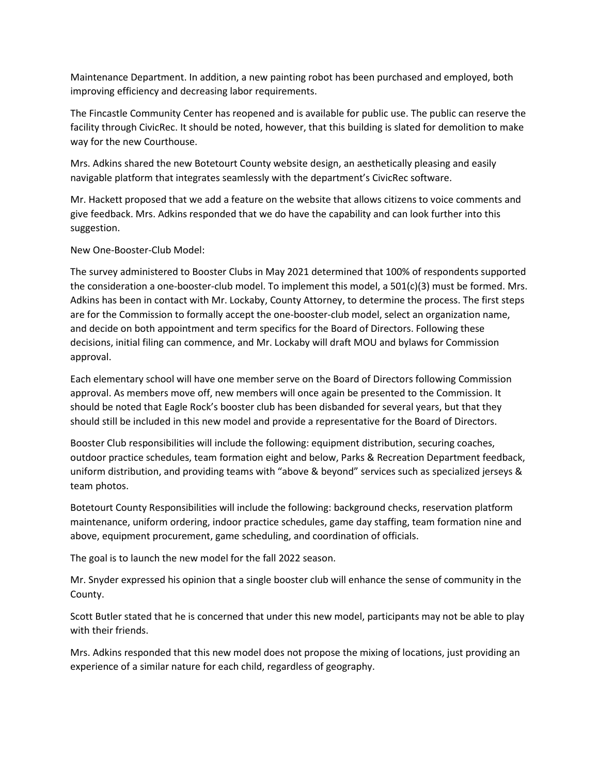Maintenance Department. In addition, a new painting robot has been purchased and employed, both improving efficiency and decreasing labor requirements.

The Fincastle Community Center has reopened and is available for public use. The public can reserve the facility through CivicRec. It should be noted, however, that this building is slated for demolition to make way for the new Courthouse.

Mrs. Adkins shared the new Botetourt County website design, an aesthetically pleasing and easily navigable platform that integrates seamlessly with the department's CivicRec software.

Mr. Hackett proposed that we add a feature on the website that allows citizens to voice comments and give feedback. Mrs. Adkins responded that we do have the capability and can look further into this suggestion.

New One-Booster-Club Model:

The survey administered to Booster Clubs in May 2021 determined that 100% of respondents supported the consideration a one-booster-club model. To implement this model, a  $501(c)(3)$  must be formed. Mrs. Adkins has been in contact with Mr. Lockaby, County Attorney, to determine the process. The first steps are for the Commission to formally accept the one-booster-club model, select an organization name, and decide on both appointment and term specifics for the Board of Directors. Following these decisions, initial filing can commence, and Mr. Lockaby will draft MOU and bylaws for Commission approval.

Each elementary school will have one member serve on the Board of Directors following Commission approval. As members move off, new members will once again be presented to the Commission. It should be noted that Eagle Rock's booster club has been disbanded for several years, but that they should still be included in this new model and provide a representative for the Board of Directors.

Booster Club responsibilities will include the following: equipment distribution, securing coaches, outdoor practice schedules, team formation eight and below, Parks & Recreation Department feedback, uniform distribution, and providing teams with "above & beyond" services such as specialized jerseys & team photos.

Botetourt County Responsibilities will include the following: background checks, reservation platform maintenance, uniform ordering, indoor practice schedules, game day staffing, team formation nine and above, equipment procurement, game scheduling, and coordination of officials.

The goal is to launch the new model for the fall 2022 season.

Mr. Snyder expressed his opinion that a single booster club will enhance the sense of community in the County.

Scott Butler stated that he is concerned that under this new model, participants may not be able to play with their friends.

Mrs. Adkins responded that this new model does not propose the mixing of locations, just providing an experience of a similar nature for each child, regardless of geography.